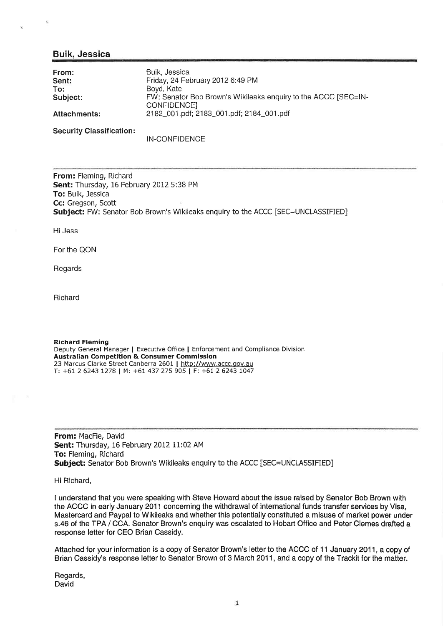## Buik. Jessica

 $\mathbf{I}_\mathrm{L}$ 

| From:<br>Sent:      | Buik, Jessica<br>Friday, 24 February 2012 6:49 PM                             |
|---------------------|-------------------------------------------------------------------------------|
| To:                 | Bovd, Kate                                                                    |
| Subject:            | FW: Senator Bob Brown's Wikileaks enquiry to the ACCC [SEC=IN-<br>CONFIDENCE] |
| <b>Attachments:</b> | 2182_001.pdf; 2183_001.pdf; 2184_001.pdf                                      |
|                     |                                                                               |

Security Classification:

IN-CONFIDENCE

From: Fleming, Richard Sent: Thursday, 16 February 2012 5:38 PM To: Buik, Jessica Cc: Gregson, Scott Subject: FW: Senator Bob Brown's Wikileaks enquiry to the ACCC [SEC=UNCLASSIFIED]

Hi Jess

For the QON

Regards

Richard

Richard Fleming Deputy General Manager | Executive Office | Enforcement and Compliance Division Australian Competition & Consumer Commission 23 Marcus Clarke Street Canberra 2601 | http://www.accc.gov.au T: +61 2 6243 1278 | M: +61 437 275 9O5 I F: +61 2 6243 tO47

From: MacFie, David Sent: Thursday, 16 February 2012 11:02 AM To: Fleming, Richard Subject: Senator Bob Brown's Wikileaks enquiry to the ACCC [SEC=UNCLASSIFIED]

Hi Richard,

I understand that you were speaking with Steve Howard about the issue raised by Senator Bob Brown with the ACCC in early January 2011 concerning the withdrawal of international funds transfer services by Visa, Mastercard and Paypal to Wikileaks and whether this potentially constituted a misuse of market power under s.46 of the TPA / CCA. Senator Brown's enquiry was escalated to Hobart Office and Peter Clemes drafted a response letter for CEO Brian Cassidy.

Attached for your information is a copy of Senator Brown's letter to the ACCC of 11 January 2011, a copy of Brian Cassidy's response letter to Senator Brown of 3 March 2011, and a copy of the Trackit for the matter.

Regards, David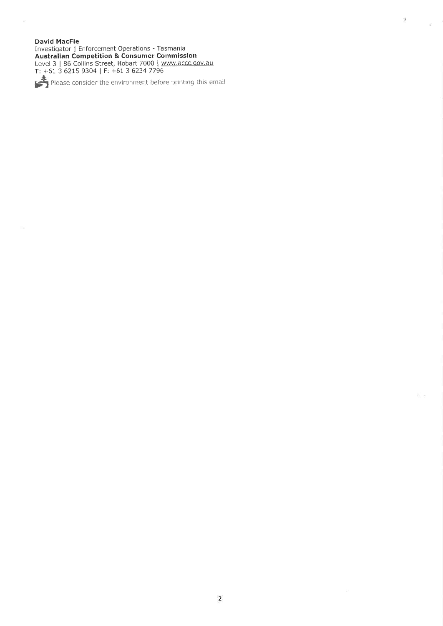#### **David MacFie**

David Macrie<br>
Investigator | Enforcement Operations - Tasmania<br> **Australian Competition & Consumer Commission**<br>
Level 3 | 86 Collins Street, Hobart 7000 | <u>www.accc.gov.au</u><br>
T: +61 3 6215 9304 | F: +61 3 6234 7796

Please consider the environment before printing this email

 $\lambda$ 

 $\mathcal{W}$ 

ti e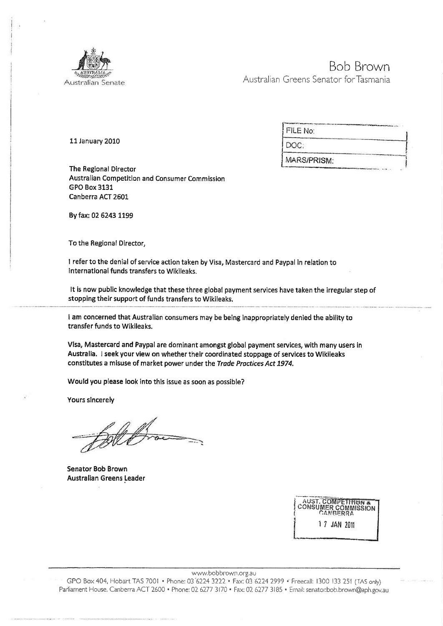

# Bob Brown Australian Greens Senator for Tasmania

11 January 2010

| FILE No:    |  |
|-------------|--|
| DOC:        |  |
| MARS/PRISM: |  |

The Regional Director Australian Competition and Consumer Commission GPO Box 3131 Canberra ACT 2601

By fax: 02 6243 1199

To the Regional Director,

I referto the denial of service action taken by Visa, Mastercard and Paypal in relation to lnternational funds transfers to Wikileaks.

It is now public knowledge that these three globaf payment services have taken the irregular step of stopping their support of funds transfers to Wikileaks,

I am concerned that Australian consumers may be being inappropriately denied the ability to transfer funds to Wikileaks.

Visa, Mastercard and Paypal are dominant amongst global payment services, with many users in Australia. I seek your view on whether their coordinated stoppage of services to Wikileaks constitutes a misuse of market power under the Trade Practices Act 1974.

Would you please look into this íssue as soon as possible?

Yours slncerely

Blet

Senator Bob Brown Australian Greens Leader

| <b>AUST. COMPETITION &amp;</b><br>AUST, COMPETITION<br>CONSUMER COMMISSION |              |  |  |  |  |
|----------------------------------------------------------------------------|--------------|--|--|--|--|
|                                                                            | 1 7 JAN 2011 |  |  |  |  |

www.bobbrown.org.au

GPO Box 404, Hobart TAS 7001 · Phone: 03 6224 3222 · Fax: 03 6224 2999 · Freecall: 1300 133 251 (TAS only) Parliament House, Canberra ACT 2600 · Phone: 02 6277 3170 · Fax: 02 6277 3185 · Email: senator:bob.brown@aph.gov.au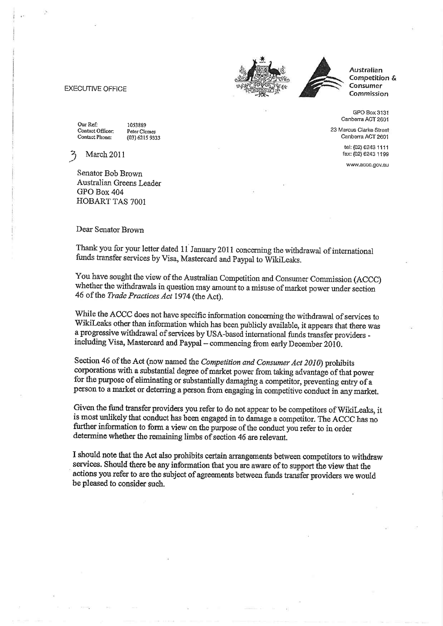

Australian Competition & **Consumer** Commission

GPO Box 3131 Canberra ACT 2601

23 Marcus Clarke Street Canberra ACT 2601

> tel: (02) 6243 1111 fax: (02) 6243 1199

www.accc.gov.au

#### **EXECUTIVE OFFICE**

Our Ref: Contact Officer: Contact Phone:

1053889 Peter Clemes (03) 6215 9333

March 2011

Senator Bob Brown Australian Greens Leader GPO Box 404 HOBART TAS 7001

### Dear Senator Brown

Thank you for your letter dated  $11$  January 2011 concerning the withdrawal of international funds transfer services by Visa, Mastercard and Paypal to WikiLeaks.

You have sought the view of the Australian Competition and Consumer Commission (ACCC) whether the withdrawals in question may amount to a misuse of market power under section 46 of the Trade Practices Act 1974 (the Act).

While the ACCC does not have specific information concerning the withdrawal of services to WikiLeaks other than information which has been publicly available, it appears that there was a progressive withdrawal of services by USA-based international funds transfer providers including Visa, Mastercard and Paypal - commencing from early December 2010.

Section 46 of the Act (now named the Competition and Consumer Act 2010) prohibits corporations with a substantial degree of market power from taking advantage of that power for the purpose of eliminating or substantially damaging a competitor, preventing entry of a person to a market or deterring a person from engaging in competitive conduct in any market.

Given the fund transfer providers you refer to do not appear to be competitors of WikiLeaks, it is most unlikely that conduct has been engaged in to damage a competitor. The ACCC has no further information to form a view on the purpose of the conduct you refer to in order determine whether the remaining limbs of section 46 are relevant.

I should note that the Act also prohibits certain arrangements between competitors to withdraw services. Should there be any information that you are aware of to support the view that the actions you refer to are the subject of agreements between funds transfer providers we would be pleased to consider such.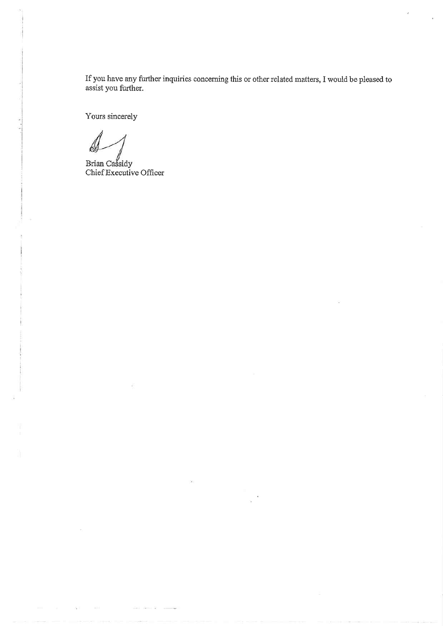If you have any further inquiries concerning this or other related matters, I would be pleased to assist you further.

Yours sincerely

Brian Cassidy Chief Executive Officer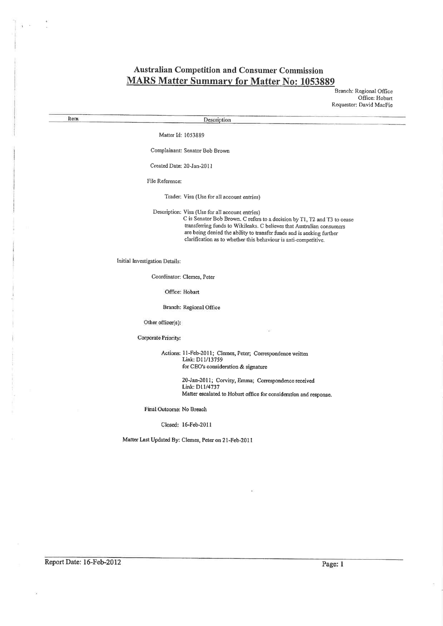# **Australian Competition and Consumer Commission MARS Matter Summary for Matter No: 1053889**

Branch: Regional Office Office: Hobart Requestor: David MacFie

Description

Matter Id: 1053889

Complainant: Senator Bob Brown

Created Date: 20-Jan-2011

File Reference:

Trader: Visa (Use for all account entries)

Description: Visa (Use for all account entries) C is Senator Bob Brown. C refers to a decision by T1, T2 and T3 to cease transferring funds to Wikileaks. C believes that Australian consumers are being denied the ability to transfer funds and is seeking further clarification as to whether this behaviour is anti-competitive.

Initial Investigation Details:

Coordinator: Clemes, Peter

Office: Hobart

Branch: Regional Office

Other officer(s):

Corporate Priority:

Actions: 11-Feb-2011; Clemes, Peter; Correspondence written Link: D11/13759 for CEO's consideration & signature

> 20-Jan-2011; Corvisy, Emma; Correspondence received Link: D11/4737 Matter escalated to Hobart office for consideration and response.

Final Outcome: No Breach

Closed: 16-Feb-2011

Matter Last Updated By: Clemes, Peter on 21-Feb-2011

Report Date: 16-Feb-2012

Item

Page: 1